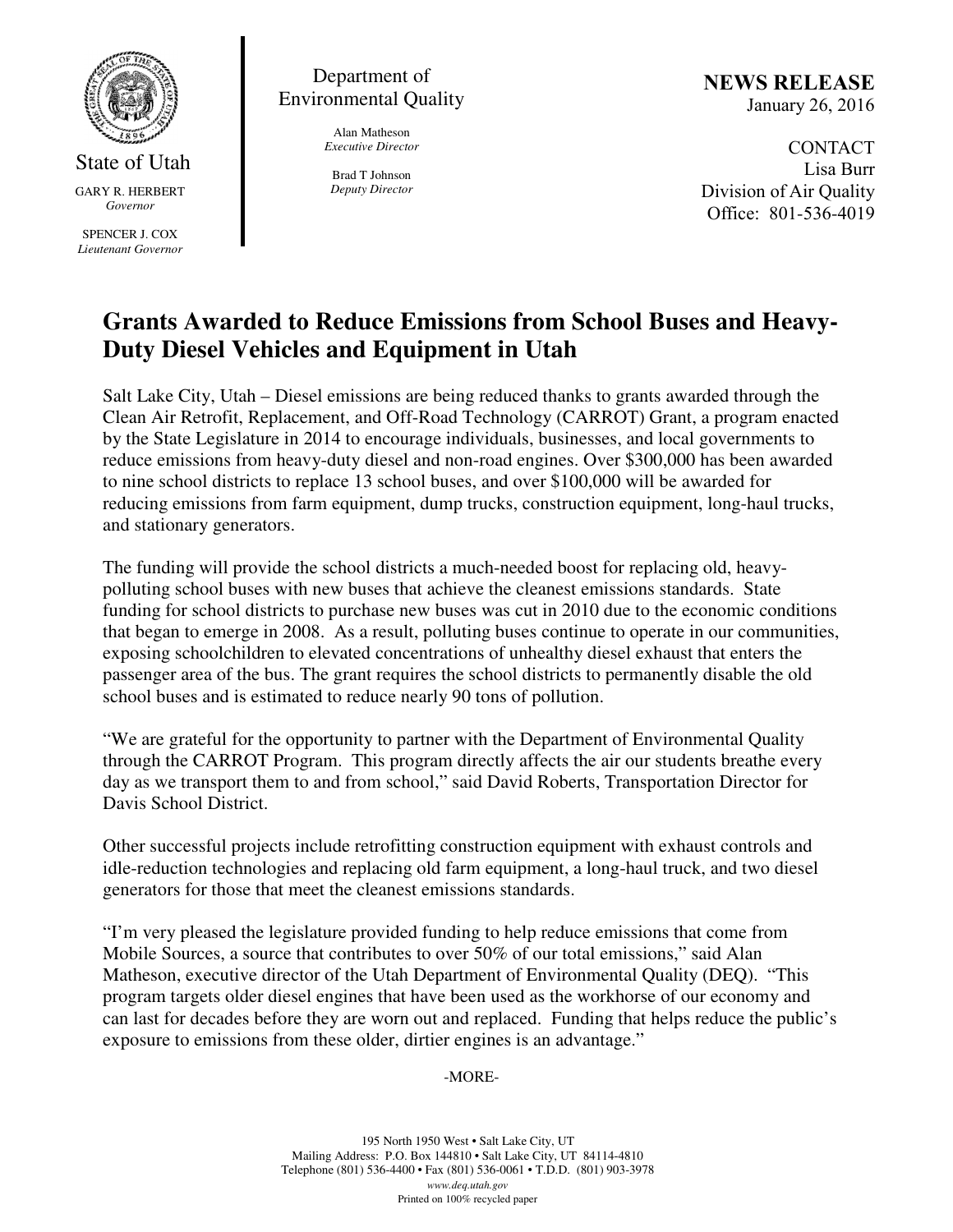

State of Utah GARY R. HERBERT *Governor* 

SPENCER J. COX *Lieutenant Governor* 

Department of Environmental Quality

> Alan Matheson *Executive Director*

Brad T Johnson *Deputy Director*  NEWS RELEASE January 26, 2016

CONTACT Lisa Burr Division of Air Quality Office: 801-536-4019

## **Grants Awarded to Reduce Emissions from School Buses and Heavy-Duty Diesel Vehicles and Equipment in Utah**

Salt Lake City, Utah – Diesel emissions are being reduced thanks to grants awarded through the Clean Air Retrofit, Replacement, and Off-Road Technology (CARROT) Grant, a program enacted by the State Legislature in 2014 to encourage individuals, businesses, and local governments to reduce emissions from heavy-duty diesel and non-road engines. Over \$300,000 has been awarded to nine school districts to replace 13 school buses, and over \$100,000 will be awarded for reducing emissions from farm equipment, dump trucks, construction equipment, long-haul trucks, and stationary generators.

The funding will provide the school districts a much-needed boost for replacing old, heavypolluting school buses with new buses that achieve the cleanest emissions standards. State funding for school districts to purchase new buses was cut in 2010 due to the economic conditions that began to emerge in 2008. As a result, polluting buses continue to operate in our communities, exposing schoolchildren to elevated concentrations of unhealthy diesel exhaust that enters the passenger area of the bus. The grant requires the school districts to permanently disable the old school buses and is estimated to reduce nearly 90 tons of pollution.

"We are grateful for the opportunity to partner with the Department of Environmental Quality through the CARROT Program. This program directly affects the air our students breathe every day as we transport them to and from school," said David Roberts, Transportation Director for Davis School District.

Other successful projects include retrofitting construction equipment with exhaust controls and idle-reduction technologies and replacing old farm equipment, a long-haul truck, and two diesel generators for those that meet the cleanest emissions standards.

"I'm very pleased the legislature provided funding to help reduce emissions that come from Mobile Sources, a source that contributes to over 50% of our total emissions," said Alan Matheson, executive director of the Utah Department of Environmental Quality (DEQ). "This program targets older diesel engines that have been used as the workhorse of our economy and can last for decades before they are worn out and replaced. Funding that helps reduce the public's exposure to emissions from these older, dirtier engines is an advantage."

## -MORE-